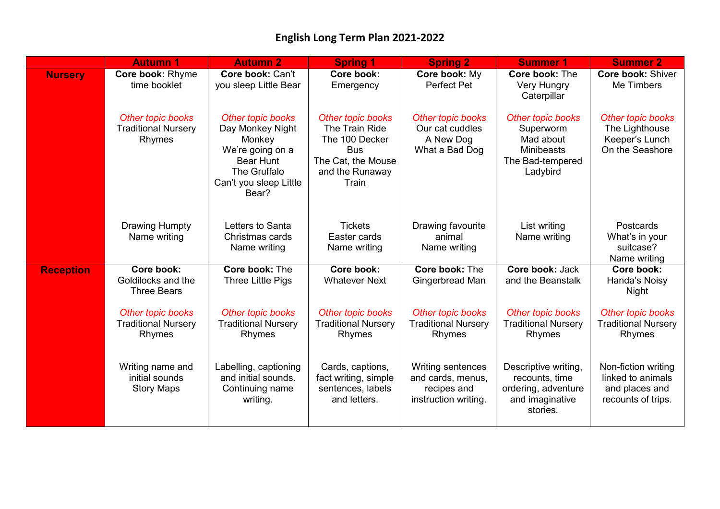|                  | <b>Autumn 1</b>                                           | <b>Autumn 2</b>                                                                                                                            | <b>Spring 1</b>                                                                                                       | <b>Spring 2</b>                                                               | <b>Summer 1</b>                                                                                  | <b>Summer 2</b>                                                                  |
|------------------|-----------------------------------------------------------|--------------------------------------------------------------------------------------------------------------------------------------------|-----------------------------------------------------------------------------------------------------------------------|-------------------------------------------------------------------------------|--------------------------------------------------------------------------------------------------|----------------------------------------------------------------------------------|
| <b>Nursery</b>   | Core book: Rhyme<br>time booklet                          | Core book: Can't<br>you sleep Little Bear                                                                                                  | Core book:<br>Emergency                                                                                               | Core book: My<br>Perfect Pet                                                  | Core book: The<br><b>Very Hungry</b><br>Caterpillar                                              | <b>Core book: Shiver</b><br>Me Timbers                                           |
|                  | Other topic books<br><b>Traditional Nursery</b><br>Rhymes | Other topic books<br>Day Monkey Night<br>Monkey<br>We're going on a<br><b>Bear Hunt</b><br>The Gruffalo<br>Can't you sleep Little<br>Bear? | Other topic books<br>The Train Ride<br>The 100 Decker<br><b>Bus</b><br>The Cat, the Mouse<br>and the Runaway<br>Train | Other topic books<br>Our cat cuddles<br>A New Dog<br>What a Bad Dog           | Other topic books<br>Superworm<br>Mad about<br><b>Minibeasts</b><br>The Bad-tempered<br>Ladybird | Other topic books<br>The Lighthouse<br>Keeper's Lunch<br>On the Seashore         |
|                  | <b>Drawing Humpty</b><br>Name writing                     | Letters to Santa<br>Christmas cards<br>Name writing                                                                                        | <b>Tickets</b><br>Easter cards<br>Name writing                                                                        | Drawing favourite<br>animal<br>Name writing                                   | List writing<br>Name writing                                                                     | <b>Postcards</b><br>What's in your<br>suitcase?<br>Name writing                  |
| <b>Reception</b> | Core book:<br>Goldilocks and the<br><b>Three Bears</b>    | Core book: The<br>Three Little Pigs                                                                                                        | Core book:<br><b>Whatever Next</b>                                                                                    | Core book: The<br>Gingerbread Man                                             | Core book: Jack<br>and the Beanstalk                                                             | Core book:<br>Handa's Noisy<br><b>Night</b>                                      |
|                  | Other topic books<br><b>Traditional Nursery</b><br>Rhymes | Other topic books<br><b>Traditional Nursery</b><br>Rhymes                                                                                  | Other topic books<br><b>Traditional Nursery</b><br>Rhymes                                                             | Other topic books<br><b>Traditional Nursery</b><br>Rhymes                     | Other topic books<br><b>Traditional Nursery</b><br>Rhymes                                        | Other topic books<br><b>Traditional Nursery</b><br>Rhymes                        |
|                  | Writing name and<br>initial sounds<br><b>Story Maps</b>   | Labelling, captioning<br>and initial sounds.<br>Continuing name<br>writing.                                                                | Cards, captions,<br>fact writing, simple<br>sentences, labels<br>and letters.                                         | Writing sentences<br>and cards, menus,<br>recipes and<br>instruction writing. | Descriptive writing,<br>recounts, time<br>ordering, adventure<br>and imaginative<br>stories.     | Non-fiction writing<br>linked to animals<br>and places and<br>recounts of trips. |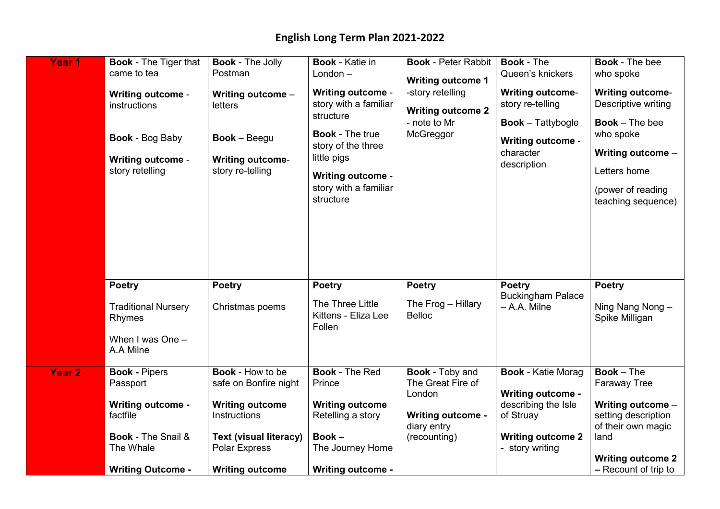| Year <sub>1</sub> | <b>Book - The Tiger that</b><br>came to tea<br><b>Writing outcome -</b><br>instructions<br><b>Book - Bog Baby</b><br><b>Writing outcome -</b><br>story retelling | <b>Book - The Jolly</b><br>Postman<br>Writing outcome -<br>letters<br>$Book - Beegu$<br><b>Writing outcome-</b><br>story re-telling                                           | <b>Book - Katie in</b><br>London $-$<br><b>Writing outcome -</b><br>story with a familiar<br>structure<br><b>Book - The true</b><br>story of the three<br>little pigs<br><b>Writing outcome -</b><br>story with a familiar<br>structure | <b>Book - Peter Rabbit</b><br><b>Writing outcome 1</b><br>-story retelling<br><b>Writing outcome 2</b><br>- note to Mr<br>McGreggor | <b>Book - The</b><br>Queen's knickers<br><b>Writing outcome-</b><br>story re-telling<br><b>Book</b> – Tattybogle<br><b>Writing outcome -</b><br>character<br>description | <b>Book - The bee</b><br>who spoke<br><b>Writing outcome-</b><br>Descriptive writing<br><b>Book</b> $-$ The bee<br>who spoke<br>Writing outcome -<br>Letters home<br>(power of reading<br>teaching sequence) |
|-------------------|------------------------------------------------------------------------------------------------------------------------------------------------------------------|-------------------------------------------------------------------------------------------------------------------------------------------------------------------------------|-----------------------------------------------------------------------------------------------------------------------------------------------------------------------------------------------------------------------------------------|-------------------------------------------------------------------------------------------------------------------------------------|--------------------------------------------------------------------------------------------------------------------------------------------------------------------------|--------------------------------------------------------------------------------------------------------------------------------------------------------------------------------------------------------------|
|                   | <b>Poetry</b><br><b>Traditional Nursery</b><br>Rhymes<br>When I was One $-$<br>A.A Milne                                                                         | <b>Poetry</b><br>Christmas poems                                                                                                                                              | <b>Poetry</b><br>The Three Little<br>Kittens - Eliza Lee<br>Follen                                                                                                                                                                      | <b>Poetry</b><br>The $Frog - Hillary$<br><b>Belloc</b>                                                                              | <b>Poetry</b><br><b>Buckingham Palace</b><br>- A.A. Milne                                                                                                                | <b>Poetry</b><br>Ning Nang Nong -<br>Spike Milligan                                                                                                                                                          |
| <b>Year 2</b>     | <b>Book - Pipers</b><br>Passport<br><b>Writing outcome -</b><br>factfile<br><b>Book - The Snail &amp;</b><br>The Whale<br><b>Writing Outcome -</b>               | <b>Book - How to be</b><br>safe on Bonfire night<br><b>Writing outcome</b><br>Instructions<br><b>Text (visual literacy)</b><br><b>Polar Express</b><br><b>Writing outcome</b> | <b>Book - The Red</b><br>Prince<br><b>Writing outcome</b><br>Retelling a story<br>$Book -$<br>The Journey Home<br><b>Writing outcome -</b>                                                                                              | <b>Book - Toby and</b><br>The Great Fire of<br>London<br><b>Writing outcome -</b><br>diary entry<br>(recounting)                    | <b>Book - Katie Morag</b><br><b>Writing outcome -</b><br>describing the Isle<br>of Struay<br><b>Writing outcome 2</b><br>- story writing                                 | $Book - The$<br><b>Faraway Tree</b><br>Writing outcome -<br>setting description<br>of their own magic<br>land<br><b>Writing outcome 2</b><br>$-$ Recount of trip to                                          |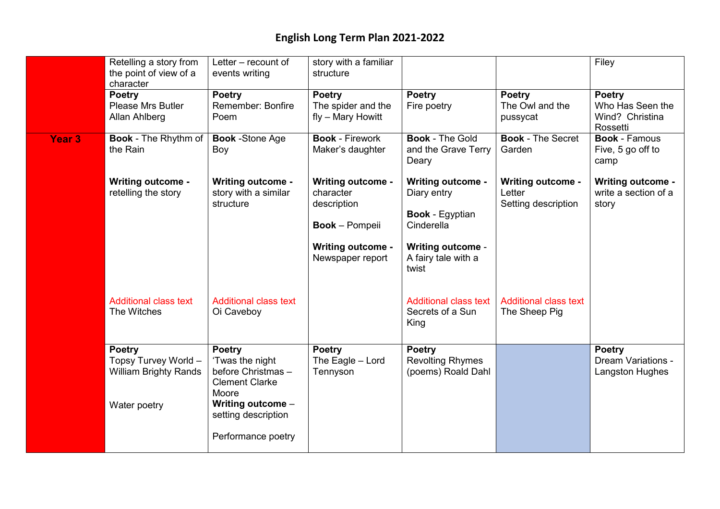|                   | Retelling a story from<br>the point of view of a<br>character                         | Letter – recount of<br>events writing                                                                                               | story with a familiar<br>structure                                                                                            |                                                                                                                                             |                                                           | Filey                                                            |
|-------------------|---------------------------------------------------------------------------------------|-------------------------------------------------------------------------------------------------------------------------------------|-------------------------------------------------------------------------------------------------------------------------------|---------------------------------------------------------------------------------------------------------------------------------------------|-----------------------------------------------------------|------------------------------------------------------------------|
|                   | <b>Poetry</b><br>Please Mrs Butler<br>Allan Ahlberg                                   | <b>Poetry</b><br>Remember: Bonfire<br>Poem                                                                                          | <b>Poetry</b><br>The spider and the<br>fly - Mary Howitt                                                                      | <b>Poetry</b><br>Fire poetry                                                                                                                | <b>Poetry</b><br>The Owl and the<br>pussycat              | <b>Poetry</b><br>Who Has Seen the<br>Wind? Christina<br>Rossetti |
| Year <sub>3</sub> | <b>Book - The Rhythm of</b><br>the Rain                                               | <b>Book</b> -Stone Age<br>Boy                                                                                                       | <b>Book - Firework</b><br>Maker's daughter                                                                                    | <b>Book - The Gold</b><br>and the Grave Terry<br>Deary                                                                                      | <b>Book - The Secret</b><br>Garden                        | <b>Book - Famous</b><br>Five, 5 go off to<br>camp                |
|                   | <b>Writing outcome -</b><br>retelling the story                                       | <b>Writing outcome -</b><br>story with a similar<br>structure                                                                       | <b>Writing outcome -</b><br>character<br>description<br><b>Book</b> – Pompeii<br><b>Writing outcome -</b><br>Newspaper report | <b>Writing outcome -</b><br>Diary entry<br><b>Book - Egyptian</b><br>Cinderella<br><b>Writing outcome -</b><br>A fairy tale with a<br>twist | <b>Writing outcome -</b><br>Letter<br>Setting description | <b>Writing outcome -</b><br>write a section of a<br>story        |
|                   | <b>Additional class text</b><br>The Witches                                           | <b>Additional class text</b><br>Oi Caveboy                                                                                          |                                                                                                                               | <b>Additional class text</b><br>Secrets of a Sun<br>King                                                                                    | <b>Additional class text</b><br>The Sheep Pig             |                                                                  |
|                   | <b>Poetry</b><br>Topsy Turvey World -<br><b>William Brighty Rands</b><br>Water poetry | <b>Poetry</b><br>'Twas the night<br>before Christmas-<br><b>Clement Clarke</b><br>Moore<br>Writing outcome -<br>setting description | <b>Poetry</b><br>The Eagle - Lord<br>Tennyson                                                                                 | <b>Poetry</b><br><b>Revolting Rhymes</b><br>(poems) Roald Dahl                                                                              |                                                           | <b>Poetry</b><br><b>Dream Variations -</b><br>Langston Hughes    |
|                   |                                                                                       | Performance poetry                                                                                                                  |                                                                                                                               |                                                                                                                                             |                                                           |                                                                  |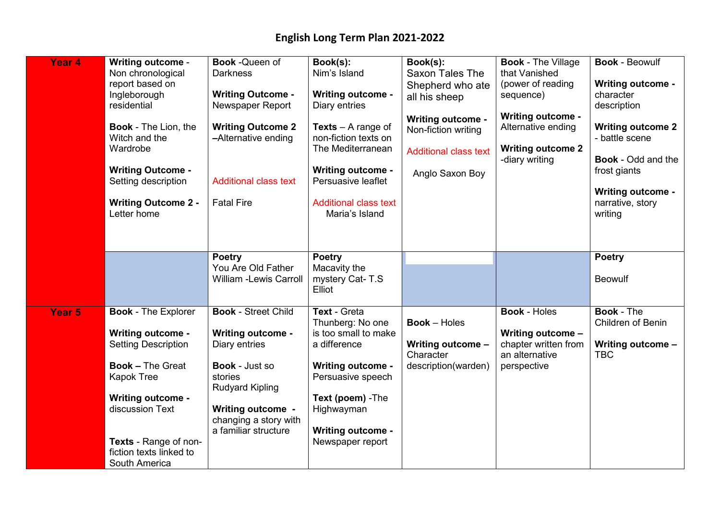| Year 4 | <b>Writing outcome -</b><br>Non chronological<br>report based on<br>Ingleborough<br>residential<br><b>Book - The Lion, the</b><br>Witch and the<br>Wardrobe<br><b>Writing Outcome -</b><br>Setting description<br><b>Writing Outcome 2 -</b><br>Letter home | <b>Book-Queen of</b><br><b>Darkness</b><br><b>Writing Outcome -</b><br>Newspaper Report<br><b>Writing Outcome 2</b><br>-Alternative ending<br><b>Additional class text</b><br><b>Fatal Fire</b>                    | Book(s):<br>Nim's Island<br><b>Writing outcome -</b><br>Diary entries<br><b>Texts</b> $-$ A range of<br>non-fiction texts on<br>The Mediterranean<br><b>Writing outcome -</b><br>Persuasive leaflet<br><b>Additional class text</b><br>Maria's Island | Book(s):<br>Saxon Tales The<br>Shepherd who ate<br>all his sheep<br><b>Writing outcome -</b><br>Non-fiction writing<br><b>Additional class text</b><br>Anglo Saxon Boy | <b>Book - The Village</b><br>that Vanished<br>(power of reading<br>sequence)<br><b>Writing outcome -</b><br>Alternative ending<br><b>Writing outcome 2</b><br>-diary writing | <b>Book - Beowulf</b><br><b>Writing outcome -</b><br>character<br>description<br><b>Writing outcome 2</b><br>- battle scene<br><b>Book</b> - Odd and the<br>frost giants<br><b>Writing outcome -</b><br>narrative, story<br>writing |
|--------|-------------------------------------------------------------------------------------------------------------------------------------------------------------------------------------------------------------------------------------------------------------|--------------------------------------------------------------------------------------------------------------------------------------------------------------------------------------------------------------------|-------------------------------------------------------------------------------------------------------------------------------------------------------------------------------------------------------------------------------------------------------|------------------------------------------------------------------------------------------------------------------------------------------------------------------------|------------------------------------------------------------------------------------------------------------------------------------------------------------------------------|-------------------------------------------------------------------------------------------------------------------------------------------------------------------------------------------------------------------------------------|
|        |                                                                                                                                                                                                                                                             | <b>Poetry</b><br>You Are Old Father<br><b>William -Lewis Carroll</b>                                                                                                                                               | <b>Poetry</b><br>Macavity the<br>mystery Cat-T.S<br>Elliot                                                                                                                                                                                            |                                                                                                                                                                        |                                                                                                                                                                              | <b>Poetry</b><br><b>Beowulf</b>                                                                                                                                                                                                     |
| Year 5 | <b>Book - The Explorer</b><br><b>Writing outcome -</b><br><b>Setting Description</b><br><b>Book - The Great</b><br><b>Kapok Tree</b><br><b>Writing outcome -</b><br>discussion Text<br>Texts - Range of non-<br>fiction texts linked to<br>South America    | <b>Book - Street Child</b><br><b>Writing outcome -</b><br>Diary entries<br><b>Book - Just so</b><br>stories<br><b>Rudyard Kipling</b><br><b>Writing outcome -</b><br>changing a story with<br>a familiar structure | <b>Text - Greta</b><br>Thunberg: No one<br>is too small to make<br>a difference<br><b>Writing outcome -</b><br>Persuasive speech<br>Text (poem) - The<br>Highwayman<br><b>Writing outcome -</b><br>Newspaper report                                   | <b>Book</b> - Holes<br>Writing outcome -<br>Character<br>description(warden)                                                                                           | <b>Book - Holes</b><br>Writing outcome -<br>chapter written from<br>an alternative<br>perspective                                                                            | <b>Book - The</b><br>Children of Benin<br>Writing outcome -<br><b>TBC</b>                                                                                                                                                           |